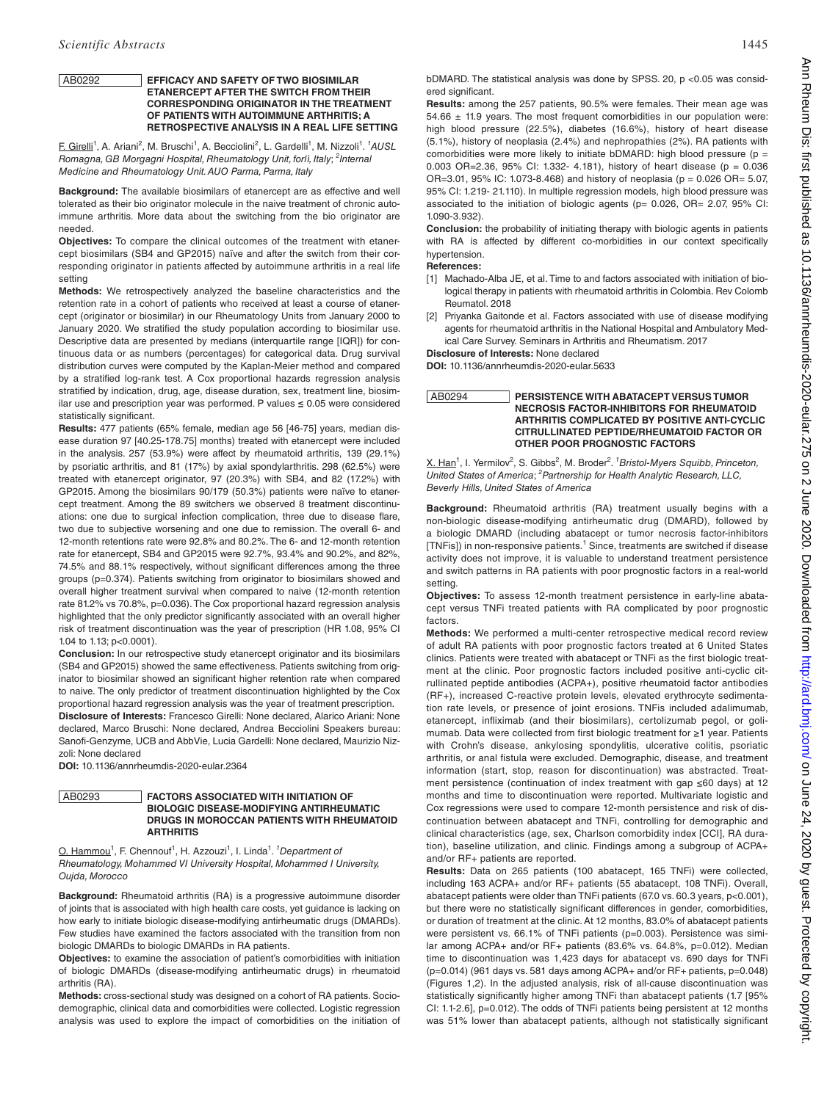### AB0292 **EFFICACY AND SAFETY OF TWO BIOSIMILAR ETANERCEPT AFTER THE SWITCH FROM THEIR CORRESPONDING ORIGINATOR IN THE TREATMENT OF PATIENTS WITH AUTOIMMUNE ARTHRITIS; A RETROSPECTIVE ANALYSIS IN A REAL LIFE SETTING**

E. Girelli<sup>1</sup>, A. Ariani<sup>2</sup>, M. Bruschi<sup>1</sup>, A. Becciolini<sup>2</sup>, L. Gardelli<sup>1</sup>, M. Nizzoli<sup>1</sup>. <sup>1</sup>AUSL *Romagna, GB Morgagni Hospital, Rheumatology Unit, forlì, Italy*; *<sup>2</sup> Internal Medicine and Rheumatology Unit. AUO Parma, Parma, Italy*

**Background:** The available biosimilars of etanercept are as effective and well tolerated as their bio originator molecule in the naive treatment of chronic autoimmune arthritis. More data about the switching from the bio originator are needed.

**Objectives:** To compare the clinical outcomes of the treatment with etanercept biosimilars (SB4 and GP2015) naïve and after the switch from their corresponding originator in patients affected by autoimmune arthritis in a real life setting

**Methods:** We retrospectively analyzed the baseline characteristics and the retention rate in a cohort of patients who received at least a course of etanercept (originator or biosimilar) in our Rheumatology Units from January 2000 to January 2020. We stratified the study population according to biosimilar use. Descriptive data are presented by medians (interquartile range [IQR]) for continuous data or as numbers (percentages) for categorical data. Drug survival distribution curves were computed by the Kaplan-Meier method and compared by a stratified log-rank test. A Cox proportional hazards regression analysis stratified by indication, drug, age, disease duration, sex, treatment line, biosimilar use and prescription year was performed. P values **≤** 0.05 were considered statistically significant.

**Results:** 477 patients (65% female, median age 56 [46-75] years, median disease duration 97 [40.25-178.75] months) treated with etanercept were included in the analysis. 257 (53.9%) were affect by rheumatoid arthritis, 139 (29.1%) by psoriatic arthritis, and 81 (17%) by axial spondylarthritis. 298 (62.5%) were treated with etanercept originator, 97 (20.3%) with SB4, and 82 (17.2%) with GP2015. Among the biosimilars 90/179 (50.3%) patients were naïve to etanercept treatment. Among the 89 switchers we observed 8 treatment discontinuations: one due to surgical infection complication, three due to disease flare, two due to subjective worsening and one due to remission. The overall 6- and 12-month retentions rate were 92.8% and 80.2%. The 6- and 12-month retention rate for etanercept, SB4 and GP2015 were 92.7%, 93.4% and 90.2%, and 82%, 74.5% and 88.1% respectively, without significant differences among the three groups (p=0.374). Patients switching from originator to biosimilars showed and overall higher treatment survival when compared to naive (12-month retention rate 81.2% vs 70.8%, p=0.036). The Cox proportional hazard regression analysis highlighted that the only predictor significantly associated with an overall higher risk of treatment discontinuation was the year of prescription (HR 1.08, 95% CI 1.04 to 1.13; p<0.0001).

**Conclusion:** In our retrospective study etanercept originator and its biosimilars (SB4 and GP2015) showed the same effectiveness. Patients switching from originator to biosimilar showed an significant higher retention rate when compared to naive. The only predictor of treatment discontinuation highlighted by the Cox proportional hazard regression analysis was the year of treatment prescription.

**Disclosure of Interests:** Francesco Girelli: None declared, Alarico Ariani: None declared, Marco Bruschi: None declared, Andrea Becciolini Speakers bureau: Sanofi-Genzyme, UCB and AbbVie, Lucia Gardelli: None declared, Maurizio Nizzoli: None declared

**DOI:** 10.1136/annrheumdis-2020-eular.2364

# AB0293 **FACTORS ASSOCIATED WITH INITIATION OF BIOLOGIC DISEASE-MODIFYING ANTIRHEUMATIC DRUGS IN MOROCCAN PATIENTS WITH RHEUMATOID ARTHRITIS**

O. Hammou<sup>1</sup>, F. Chennouf<sup>1</sup>, H. Azzouzi<sup>1</sup>, I. Linda<sup>1</sup>. <sup>*1*</sup> Department of *Rheumatology, Mohammed VI University Hospital, Mohammed I University, Oujda, Morocco*

**Background:** Rheumatoid arthritis (RA) is a progressive autoimmune disorder of joints that is associated with high health care costs, yet guidance is lacking on how early to initiate biologic disease-modifying antirheumatic drugs (DMARDs). Few studies have examined the factors associated with the transition from non biologic DMARDs to biologic DMARDs in RA patients.

**Objectives:** to examine the association of patient's comorbidities with initiation of biologic DMARDs (disease-modifying antirheumatic drugs) in rheumatoid arthritis (RA).

**Methods:** cross-sectional study was designed on a cohort of RA patients. Sociodemographic, clinical data and comorbidities were collected. Logistic regression analysis was used to explore the impact of comorbidities on the initiation of bDMARD. The statistical analysis was done by SPSS. 20,  $p$  <0.05 was considered significant.

**Results:** among the 257 patients, 90.5% were females. Their mean age was  $54.66 \pm 11.9$  years. The most frequent comorbidities in our population were: high blood pressure (22.5%), diabetes (16.6%), history of heart disease (5.1%), history of neoplasia (2.4%) and nephropathies (2%). RA patients with comorbidities were more likely to initiate bDMARD: high blood pressure ( $p =$ 0.003 OR=2.36, 95% CI: 1.332- 4.181), history of heart disease (p = 0.036 OR=3.01, 95% IC: 1.073-8.468) and history of neoplasia (p = 0.026 OR= 5.07, 95% CI: 1.219- 21.110). In multiple regression models, high blood pressure was associated to the initiation of biologic agents (p= 0.026, OR= 2.07, 95% CI: 1.090-3.932).

**Conclusion:** the probability of initiating therapy with biologic agents in patients with RA is affected by different co-morbidities in our context specifically hypertension.

**References:** 

- [1] Machado-Alba JE, et al. Time to and factors associated with initiation of biological therapy in patients with rheumatoid arthritis in Colombia. Rev Colomb Reumatol. 2018
- [2] Priyanka Gaitonde et al. Factors associated with use of disease modifying agents for rheumatoid arthritis in the National Hospital and Ambulatory Medical Care Survey. Seminars in Arthritis and Rheumatism. 2017

**Disclosure of Interests:** None declared

**DOI:** 10.1136/annrheumdis-2020-eular.5633

# AB0294 **PERSISTENCE WITH ABATACEPT VERSUS TUMOR NECROSIS FACTOR-INHIBITORS FOR RHEUMATOID ARTHRITIS COMPLICATED BY POSITIVE ANTI-CYCLIC CITRULLINATED PEPTIDE/RHEUMATOID FACTOR OR OTHER POOR PROGNOSTIC FACTORS**

X. Han<sup>1</sup>, I. Yermilov<sup>2</sup>, S. Gibbs<sup>2</sup>, M. Broder<sup>2</sup>. <sup>1</sup> Bristol-Myers Squibb, Princeton, *United States of America*; *<sup>2</sup> Partnership for Health Analytic Research, LLC, Beverly Hills, United States of America*

**Background:** Rheumatoid arthritis (RA) treatment usually begins with a non-biologic disease-modifying antirheumatic drug (DMARD), followed by a biologic DMARD (including abatacept or tumor necrosis factor-inhibitors [TNFis]) in non-responsive patients.<sup>1</sup> Since, treatments are switched if disease activity does not improve, it is valuable to understand treatment persistence and switch patterns in RA patients with poor prognostic factors in a real-world setting.

**Objectives:** To assess 12-month treatment persistence in early-line abatacept versus TNFi treated patients with RA complicated by poor prognostic factors.

**Methods:** We performed a multi-center retrospective medical record review of adult RA patients with poor prognostic factors treated at 6 United States clinics. Patients were treated with abatacept or TNFi as the first biologic treatment at the clinic. Poor prognostic factors included positive anti-cyclic citrullinated peptide antibodies (ACPA+), positive rheumatoid factor antibodies (RF+), increased C-reactive protein levels, elevated erythrocyte sedimentation rate levels, or presence of joint erosions. TNFis included adalimumab, etanercept, infliximab (and their biosimilars), certolizumab pegol, or golimumab. Data were collected from first biologic treatment for ≥1 year. Patients with Crohn's disease, ankylosing spondylitis, ulcerative colitis, psoriatic arthritis, or anal fistula were excluded. Demographic, disease, and treatment information (start, stop, reason for discontinuation) was abstracted. Treatment persistence (continuation of index treatment with gap ≤60 days) at 12 months and time to discontinuation were reported. Multivariate logistic and Cox regressions were used to compare 12-month persistence and risk of discontinuation between abatacept and TNFi, controlling for demographic and clinical characteristics (age, sex, Charlson comorbidity index [CCI], RA duration), baseline utilization, and clinic. Findings among a subgroup of ACPA+ and/or RF+ patients are reported.

**Results:** Data on 265 patients (100 abatacept, 165 TNFi) were collected, including 163 ACPA+ and/or RF+ patients (55 abatacept, 108 TNFi). Overall, abatacept patients were older than TNFi patients (67.0 vs. 60.3 years, p<0.001), but there were no statistically significant differences in gender, comorbidities, or duration of treatment at the clinic. At 12 months, 83.0% of abatacept patients were persistent vs. 66.1% of TNFi patients (p=0.003). Persistence was similar among ACPA+ and/or RF+ patients (83.6% vs. 64.8%, p=0.012). Median time to discontinuation was 1,423 days for abatacept vs. 690 days for TNFi (p=0.014) (961 days vs. 581 days among ACPA+ and/or RF+ patients, p=0.048) (Figures 1,2). In the adjusted analysis, risk of all-cause discontinuation was statistically significantly higher among TNFi than abatacept patients (1.7 [95% CI: 1.1-2.6], p=0.012). The odds of TNFi patients being persistent at 12 months was 51% lower than abatacept patients, although not statistically significant